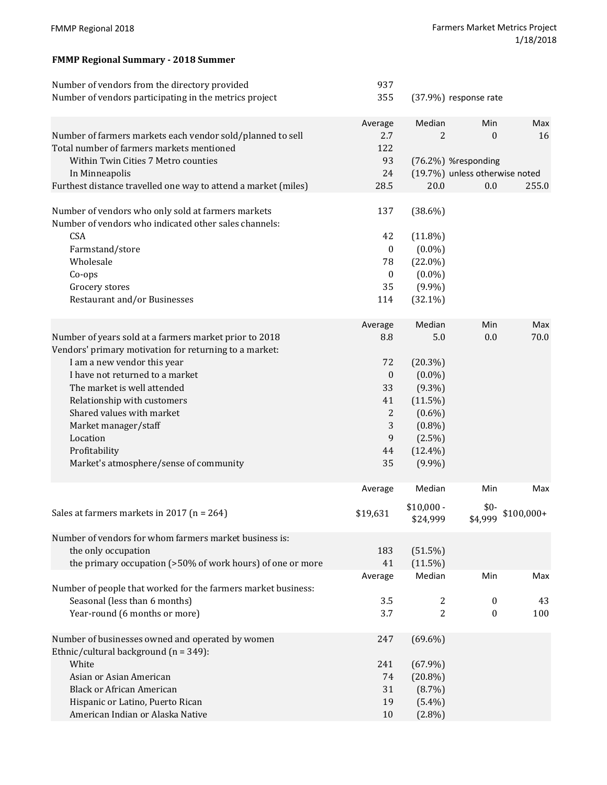## **FMMP Regional Summary ‐ 2018 Summer**

| Number of vendors from the directory provided<br>Number of vendors participating in the metrics project                                                                                                                                                                                                                                                                      | 937<br>355                                                                      |                                                                                                                                       | (37.9%) response rate                                                                   |                    |
|------------------------------------------------------------------------------------------------------------------------------------------------------------------------------------------------------------------------------------------------------------------------------------------------------------------------------------------------------------------------------|---------------------------------------------------------------------------------|---------------------------------------------------------------------------------------------------------------------------------------|-----------------------------------------------------------------------------------------|--------------------|
| Number of farmers markets each vendor sold/planned to sell<br>Total number of farmers markets mentioned<br>Within Twin Cities 7 Metro counties<br>In Minneapolis<br>Furthest distance travelled one way to attend a market (miles)                                                                                                                                           | Average<br>2.7<br>122<br>93<br>24<br>28.5                                       | Median<br>2<br>20.0                                                                                                                   | Min<br>$\boldsymbol{0}$<br>(76.2%) %responding<br>(19.7%) unless otherwise noted<br>0.0 | Max<br>16<br>255.0 |
| Number of vendors who only sold at farmers markets<br>Number of vendors who indicated other sales channels:<br><b>CSA</b><br>Farmstand/store<br>Wholesale<br>Co-ops<br>Grocery stores<br>Restaurant and/or Businesses                                                                                                                                                        | 137<br>42<br>$\boldsymbol{0}$<br>78<br>$\boldsymbol{0}$<br>35<br>114            | $(38.6\%)$<br>$(11.8\%)$<br>$(0.0\%)$<br>$(22.0\%)$<br>$(0.0\%)$<br>$(9.9\%)$<br>$(32.1\%)$                                           |                                                                                         |                    |
| Number of years sold at a farmers market prior to 2018<br>Vendors' primary motivation for returning to a market:<br>I am a new vendor this year<br>I have not returned to a market<br>The market is well attended<br>Relationship with customers<br>Shared values with market<br>Market manager/staff<br>Location<br>Profitability<br>Market's atmosphere/sense of community | Average<br>8.8<br>72<br>$\boldsymbol{0}$<br>33<br>41<br>2<br>3<br>9<br>44<br>35 | Median<br>5.0<br>$(20.3\%)$<br>$(0.0\%)$<br>$(9.3\%)$<br>$(11.5\%)$<br>$(0.6\%)$<br>$(0.8\%)$<br>$(2.5\%)$<br>$(12.4\%)$<br>$(9.9\%)$ | Min<br>0.0                                                                              | Max<br>70.0        |
| Sales at farmers markets in 2017 ( $n = 264$ )                                                                                                                                                                                                                                                                                                                               | Average<br>\$19,631                                                             | Median<br>$$10,000 -$<br>\$24,999                                                                                                     | Min<br>$$0-$<br>\$4,999                                                                 | Max<br>$$100,000+$ |
| Number of vendors for whom farmers market business is:<br>the only occupation<br>the primary occupation (>50% of work hours) of one or more<br>Number of people that worked for the farmers market business:                                                                                                                                                                 | 183<br>41<br>Average                                                            | $(51.5\%)$<br>$(11.5\%)$<br>Median                                                                                                    | Min                                                                                     | Max                |
| Seasonal (less than 6 months)<br>Year-round (6 months or more)                                                                                                                                                                                                                                                                                                               | 3.5<br>3.7                                                                      | 2<br>$\overline{2}$                                                                                                                   | $\bf{0}$<br>0                                                                           | 43<br>100          |
| Number of businesses owned and operated by women<br>Ethnic/cultural background $(n = 349)$ :<br>White<br>Asian or Asian American<br><b>Black or African American</b><br>Hispanic or Latino, Puerto Rican<br>American Indian or Alaska Native                                                                                                                                 | 247<br>241<br>74<br>31<br>19<br>10                                              | $(69.6\%)$<br>$(67.9\%)$<br>$(20.8\%)$<br>$(8.7\%)$<br>$(5.4\%)$<br>$(2.8\%)$                                                         |                                                                                         |                    |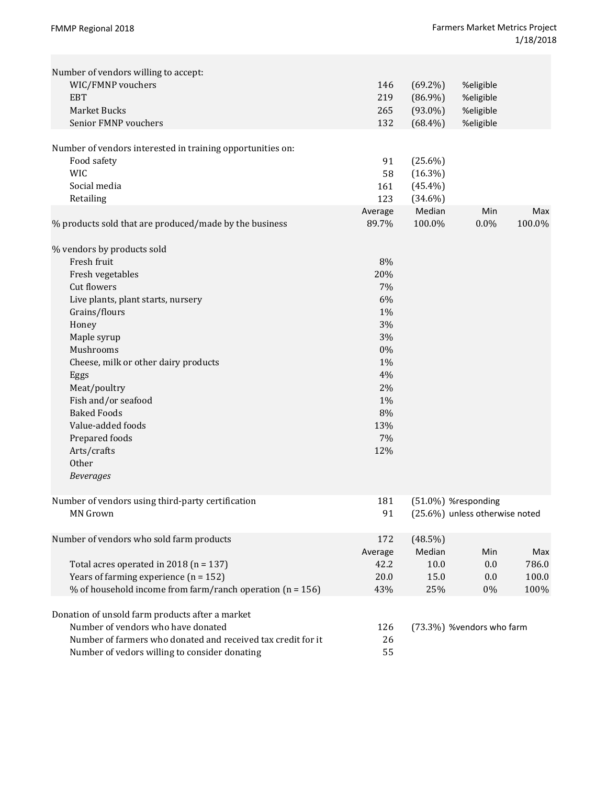| Number of vendors willing to accept:<br>WIC/FMNP vouchers<br><b>EBT</b><br>Market Bucks<br>Senior FMNP vouchers                                                                                                                                                                                                                                                          | 146<br>219<br>265<br>132                                                                        | $(69.2\%)$<br>$(86.9\%)$<br>$(93.0\%)$<br>$(68.4\%)$ | %eligible<br>%eligible<br>%eligible<br>%eligible      |                               |
|--------------------------------------------------------------------------------------------------------------------------------------------------------------------------------------------------------------------------------------------------------------------------------------------------------------------------------------------------------------------------|-------------------------------------------------------------------------------------------------|------------------------------------------------------|-------------------------------------------------------|-------------------------------|
| Number of vendors interested in training opportunities on:<br>Food safety<br><b>WIC</b><br>Social media<br>Retailing                                                                                                                                                                                                                                                     | 91<br>58<br>161<br>123                                                                          | $(25.6\%)$<br>$(16.3\%)$<br>$(45.4\%)$<br>$(34.6\%)$ |                                                       |                               |
| % products sold that are produced/made by the business                                                                                                                                                                                                                                                                                                                   | Average<br>89.7%                                                                                | Median<br>100.0%                                     | Min<br>0.0%                                           | Max<br>100.0%                 |
| % vendors by products sold<br>Fresh fruit<br>Fresh vegetables<br>Cut flowers<br>Live plants, plant starts, nursery<br>Grains/flours<br>Honey<br>Maple syrup<br>Mushrooms<br>Cheese, milk or other dairy products<br>Eggs<br>Meat/poultry<br>Fish and/or seafood<br><b>Baked Foods</b><br>Value-added foods<br>Prepared foods<br>Arts/crafts<br>Other<br><b>Beverages</b> | 8%<br>20%<br>7%<br>6%<br>1%<br>3%<br>3%<br>0%<br>1%<br>4%<br>2%<br>1%<br>8%<br>13%<br>7%<br>12% |                                                      |                                                       |                               |
| Number of vendors using third-party certification<br><b>MN</b> Grown                                                                                                                                                                                                                                                                                                     | 181<br>91                                                                                       |                                                      | (51.0%) %responding<br>(25.6%) unless otherwise noted |                               |
| Number of vendors who sold farm products<br>Total acres operated in 2018 ( $n = 137$ )<br>Years of farming experience $(n = 152)$<br>% of household income from farm/ranch operation ( $n = 156$ )                                                                                                                                                                       | 172<br>Average<br>42.2<br>20.0<br>43%                                                           | $(48.5\%)$<br>Median<br>10.0<br>15.0<br>25%          | Min<br>0.0<br>0.0<br>0%                               | Max<br>786.0<br>100.0<br>100% |
| Donation of unsold farm products after a market<br>Number of vendors who have donated<br>Number of farmers who donated and received tax credit for it<br>Number of vedors willing to consider donating                                                                                                                                                                   | 126<br>26<br>55                                                                                 |                                                      | (73.3%) %vendors who farm                             |                               |